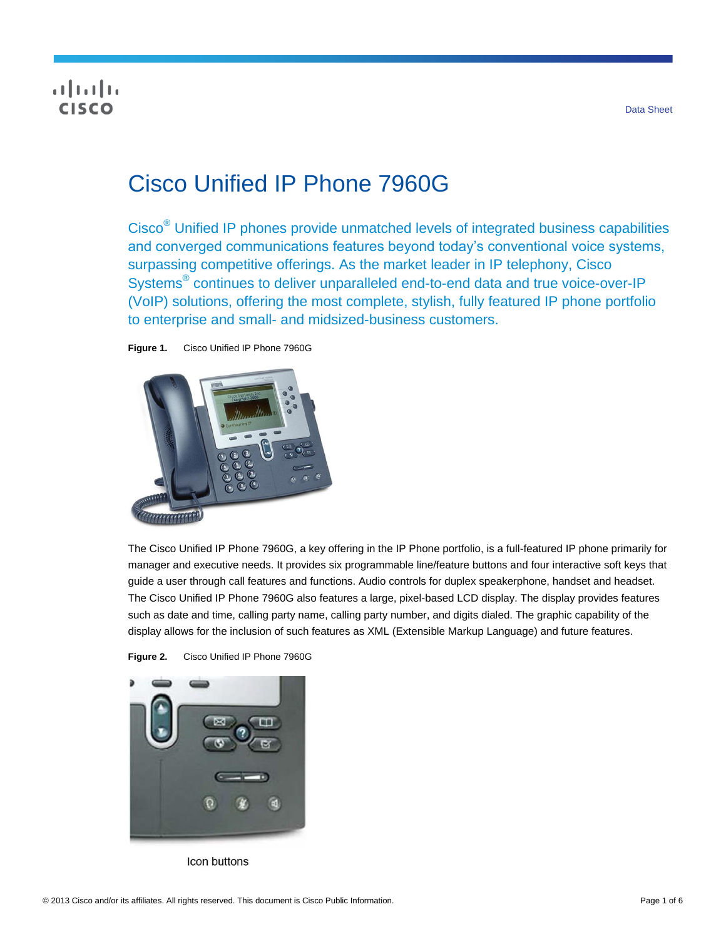# **CISCO**

# Cisco Unified IP Phone 7960G

Cisco® Unified IP phones provide unmatched levels of integrated business capabilities and converged communications features beyond today's conventional voice systems, surpassing competitive offerings. As the market leader in IP telephony, Cisco Systems<sup>®</sup> continues to deliver unparalleled end-to-end data and true voice-over-IP (VoIP) solutions, offering the most complete, stylish, fully featured IP phone portfolio to enterprise and small- and midsized-business customers.

**Figure 1.** Cisco Unified IP Phone 7960G



The Cisco Unified IP Phone 7960G, a key offering in the IP Phone portfolio, is a full-featured IP phone primarily for manager and executive needs. It provides six programmable line/feature buttons and four interactive soft keys that guide a user through call features and functions. Audio controls for duplex speakerphone, handset and headset. The Cisco Unified IP Phone 7960G also features a large, pixel-based LCD display. The display provides features such as date and time, calling party name, calling party number, and digits dialed. The graphic capability of the display allows for the inclusion of such features as XML (Extensible Markup Language) and future features.





Icon buttons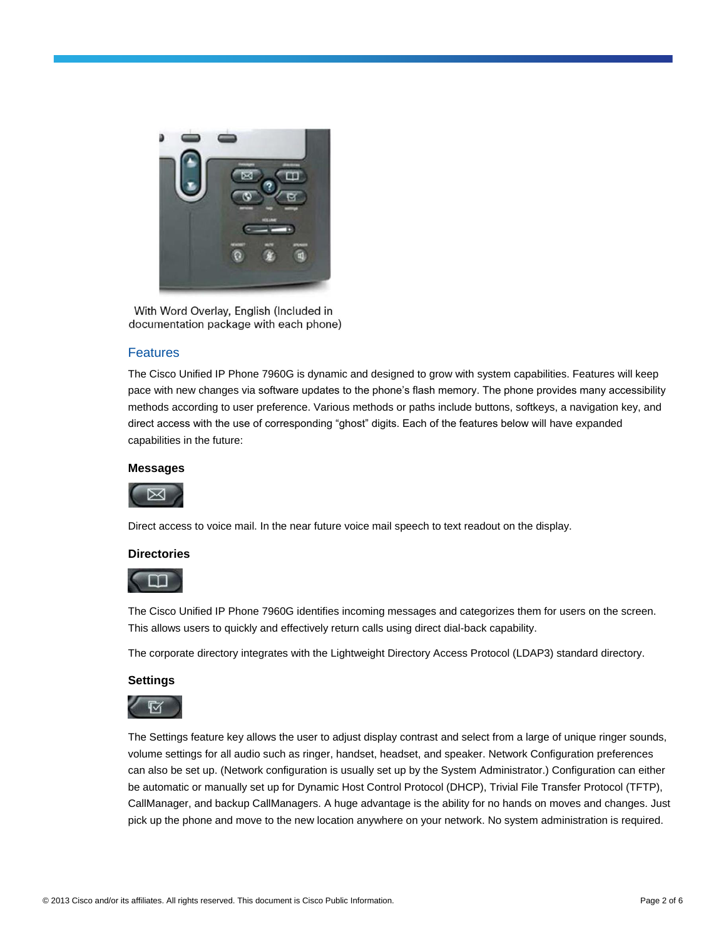

With Word Overlay, English (Included in documentation package with each phone)

# Features

The Cisco Unified IP Phone 7960G is dynamic and designed to grow with system capabilities. Features will keep pace with new changes via software updates to the phone's flash memory. The phone provides many accessibility methods according to user preference. Various methods or paths include buttons, softkeys, a navigation key, and direct access with the use of corresponding "ghost" digits. Each of the features below will have expanded capabilities in the future:

#### **Messages**



Direct access to voice mail. In the near future voice mail speech to text readout on the display.

#### **Directories**

The Cisco Unified IP Phone 7960G identifies incoming messages and categorizes them for users on the screen. This allows users to quickly and effectively return calls using direct dial-back capability.

The corporate directory integrates with the Lightweight Directory Access Protocol (LDAP3) standard directory.

#### **Settings**

The Settings feature key allows the user to adjust display contrast and select from a large of unique ringer sounds, volume settings for all audio such as ringer, handset, headset, and speaker. Network Configuration preferences can also be set up. (Network configuration is usually set up by the System Administrator.) Configuration can either be automatic or manually set up for Dynamic Host Control Protocol (DHCP), Trivial File Transfer Protocol (TFTP), CallManager, and backup CallManagers. A huge advantage is the ability for no hands on moves and changes. Just pick up the phone and move to the new location anywhere on your network. No system administration is required.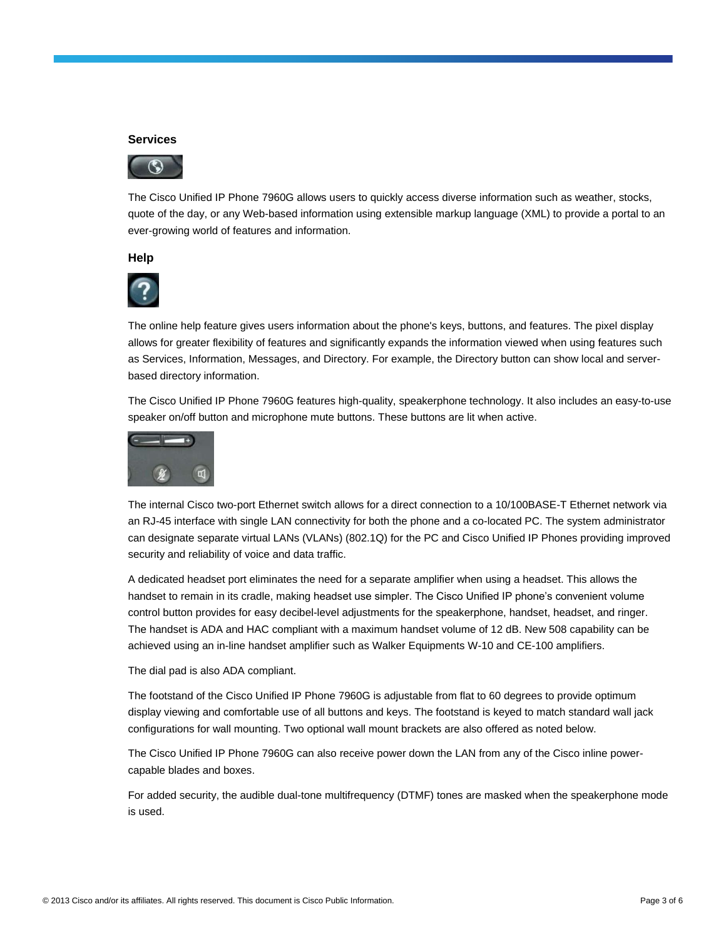#### **Services**



The Cisco Unified IP Phone 7960G allows users to quickly access diverse information such as weather, stocks, quote of the day, or any Web-based information using extensible markup language (XML) to provide a portal to an ever-growing world of features and information.

#### **Help**



The online help feature gives users information about the phone's keys, buttons, and features. The pixel display allows for greater flexibility of features and significantly expands the information viewed when using features such as Services, Information, Messages, and Directory. For example, the Directory button can show local and serverbased directory information.

The Cisco Unified IP Phone 7960G features high-quality, speakerphone technology. It also includes an easy-to-use speaker on/off button and microphone mute buttons. These buttons are lit when active.



The internal Cisco two-port Ethernet switch allows for a direct connection to a 10/100BASE-T Ethernet network via an RJ-45 interface with single LAN connectivity for both the phone and a co-located PC. The system administrator can designate separate virtual LANs (VLANs) (802.1Q) for the PC and Cisco Unified IP Phones providing improved security and reliability of voice and data traffic.

A dedicated headset port eliminates the need for a separate amplifier when using a headset. This allows the handset to remain in its cradle, making headset use simpler. The Cisco Unified IP phone's convenient volume control button provides for easy decibel-level adjustments for the speakerphone, handset, headset, and ringer. The handset is ADA and HAC compliant with a maximum handset volume of 12 dB. New 508 capability can be achieved using an in-line handset amplifier such as Walker Equipments W-10 and CE-100 amplifiers.

The dial pad is also ADA compliant.

The footstand of the Cisco Unified IP Phone 7960G is adjustable from flat to 60 degrees to provide optimum display viewing and comfortable use of all buttons and keys. The footstand is keyed to match standard wall jack configurations for wall mounting. Two optional wall mount brackets are also offered as noted below.

The Cisco Unified IP Phone 7960G can also receive power down the LAN from any of the Cisco inline powercapable blades and boxes.

For added security, the audible dual-tone multifrequency (DTMF) tones are masked when the speakerphone mode is used.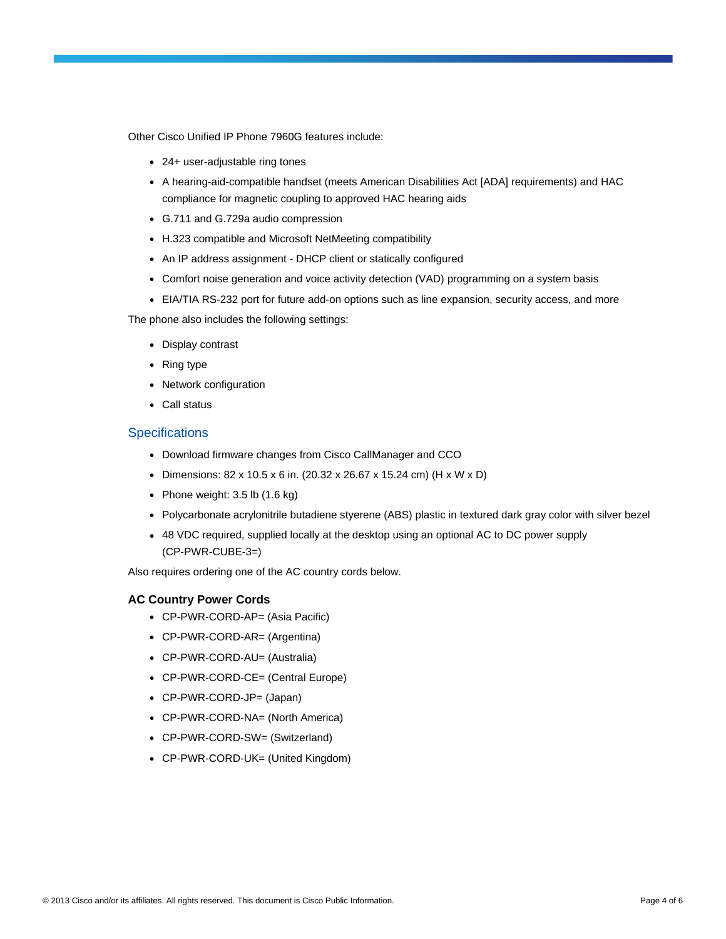Other Cisco Unified IP Phone 7960G features include:

- 24+ user-adjustable ring tones
- A hearing-aid-compatible handset (meets American Disabilities Act [ADA] requirements) and HAC compliance for magnetic coupling to approved HAC hearing aids
- G.711 and G.729a audio compression
- H.323 compatible and Microsoft NetMeeting compatibility
- An IP address assignment DHCP client or statically configured
- Comfort noise generation and voice activity detection (VAD) programming on a system basis
- EIA/TIA RS-232 port for future add-on options such as line expansion, security access, and more

The phone also includes the following settings:

- Display contrast
- Ring type
- Network configuration
- Call status

# **Specifications**

- Download firmware changes from Cisco CallManager and CCO
- Dimensions: 82 x 10.5 x 6 in. (20.32 x 26.67 x 15.24 cm) (H x W x D)
- Phone weight:  $3.5$  lb  $(1.6 \text{ kg})$
- Polycarbonate acrylonitrile butadiene styerene (ABS) plastic in textured dark gray color with silver bezel
- 48 VDC required, supplied locally at the desktop using an optional AC to DC power supply (CP-PWR-CUBE-3=)

Also requires ordering one of the AC country cords below.

# **AC Country Power Cords**

- CP-PWR-CORD-AP= (Asia Pacific)
- CP-PWR-CORD-AR= (Argentina)
- CP-PWR-CORD-AU= (Australia)
- CP-PWR-CORD-CE= (Central Europe)
- CP-PWR-CORD-JP= (Japan)
- CP-PWR-CORD-NA= (North America)
- CP-PWR-CORD-SW= (Switzerland)
- CP-PWR-CORD-UK= (United Kingdom)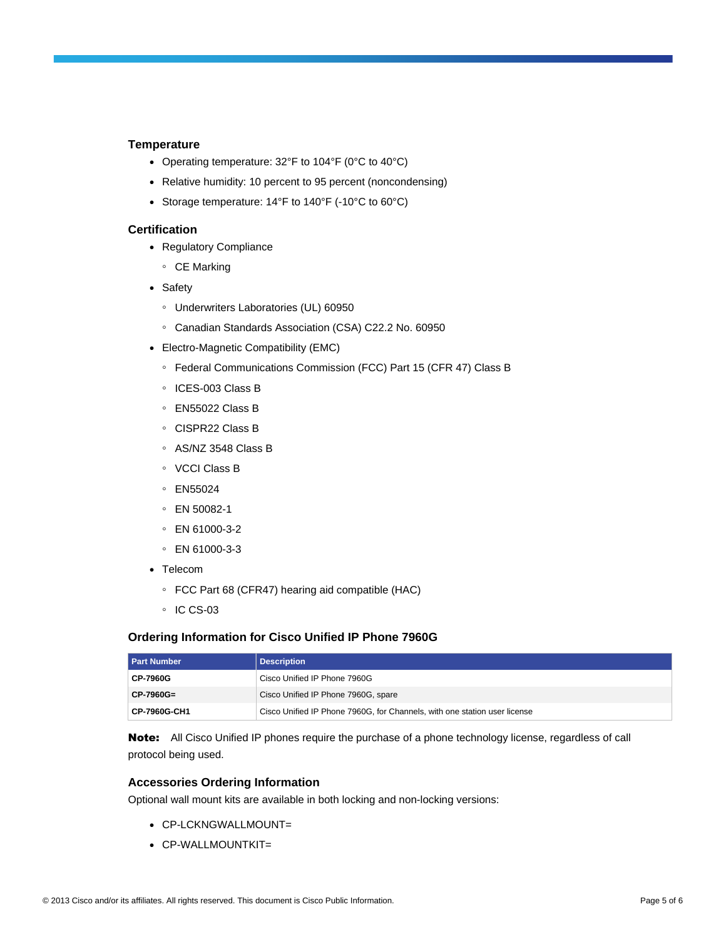#### **Temperature**

- Operating temperature: 32°F to 104°F (0°C to 40°C)
- Relative humidity: 10 percent to 95 percent (noncondensing)
- Storage temperature: 14°F to 140°F (-10°C to 60°C)

# **Certification**

- Regulatory Compliance
	- CE Marking
- Safety
	- Underwriters Laboratories (UL) 60950
	- Canadian Standards Association (CSA) C22.2 No. 60950
- Electro-Magnetic Compatibility (EMC)
	- Federal Communications Commission (FCC) Part 15 (CFR 47) Class B
	- ICES-003 Class B
	- EN55022 Class B
	- CISPR22 Class B
	- AS/NZ 3548 Class B
	- VCCI Class B
	- EN55024
	- EN 50082-1
	- EN 61000-3-2
	- EN 61000-3-3
- Telecom
	- FCC Part 68 (CFR47) hearing aid compatible (HAC)
	- IC CS-03

#### **Ordering Information for Cisco Unified IP Phone 7960G**

| <b>Part Number</b> | <b>Description</b>                                                        |
|--------------------|---------------------------------------------------------------------------|
| <b>CP-7960G</b>    | Cisco Unified IP Phone 7960G                                              |
| $CP-7960G=$        | Cisco Unified IP Phone 7960G, spare                                       |
| CP-7960G-CH1       | Cisco Unified IP Phone 7960G, for Channels, with one station user license |

Note: All Cisco Unified IP phones require the purchase of a phone technology license, regardless of call protocol being used.

#### **Accessories Ordering Information**

Optional wall mount kits are available in both locking and non-locking versions:

- CP-LCKNGWALLMOUNT=
- CP-WALLMOUNTKIT=